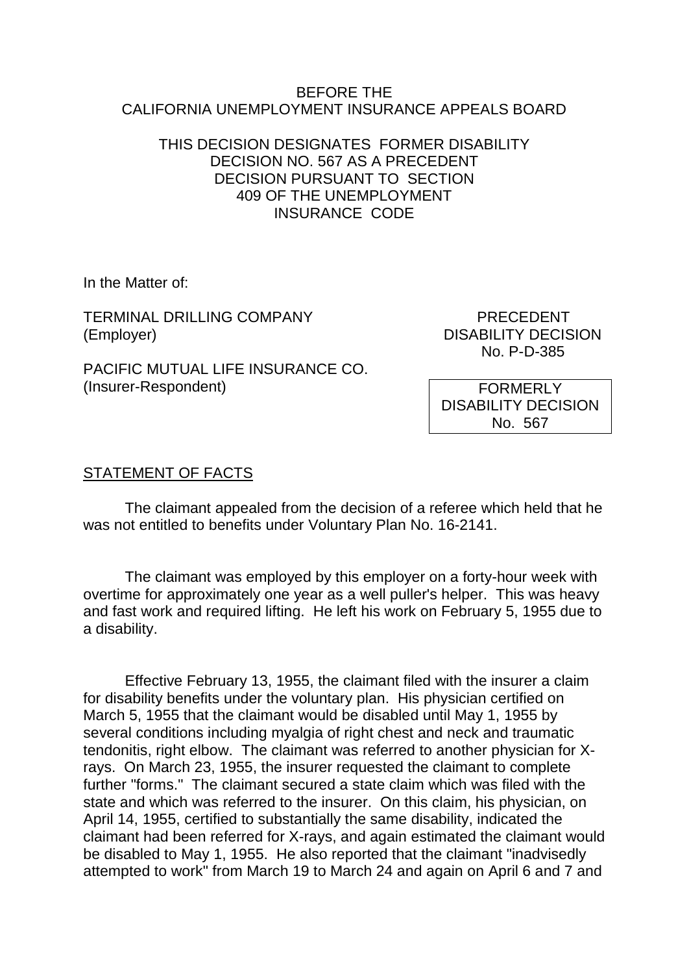### BEFORE THE CALIFORNIA UNEMPLOYMENT INSURANCE APPEALS BOARD

## THIS DECISION DESIGNATES FORMER DISABILITY DECISION NO. 567 AS A PRECEDENT DECISION PURSUANT TO SECTION 409 OF THE UNEMPLOYMENT INSURANCE CODE

In the Matter of:

TERMINAL DRILLING COMPANY FRECEDENT (Employer) DISABILITY DECISION

No. P-D-385

PACIFIC MUTUAL LIFE INSURANCE CO. (Insurer-Respondent)

FORMERLY DISABILITY DECISION No. 567

# STATEMENT OF FACTS

The claimant appealed from the decision of a referee which held that he was not entitled to benefits under Voluntary Plan No. 16-2141.

The claimant was employed by this employer on a forty-hour week with overtime for approximately one year as a well puller's helper. This was heavy and fast work and required lifting. He left his work on February 5, 1955 due to a disability.

Effective February 13, 1955, the claimant filed with the insurer a claim for disability benefits under the voluntary plan. His physician certified on March 5, 1955 that the claimant would be disabled until May 1, 1955 by several conditions including myalgia of right chest and neck and traumatic tendonitis, right elbow. The claimant was referred to another physician for Xrays. On March 23, 1955, the insurer requested the claimant to complete further "forms." The claimant secured a state claim which was filed with the state and which was referred to the insurer. On this claim, his physician, on April 14, 1955, certified to substantially the same disability, indicated the claimant had been referred for X-rays, and again estimated the claimant would be disabled to May 1, 1955. He also reported that the claimant "inadvisedly attempted to work" from March 19 to March 24 and again on April 6 and 7 and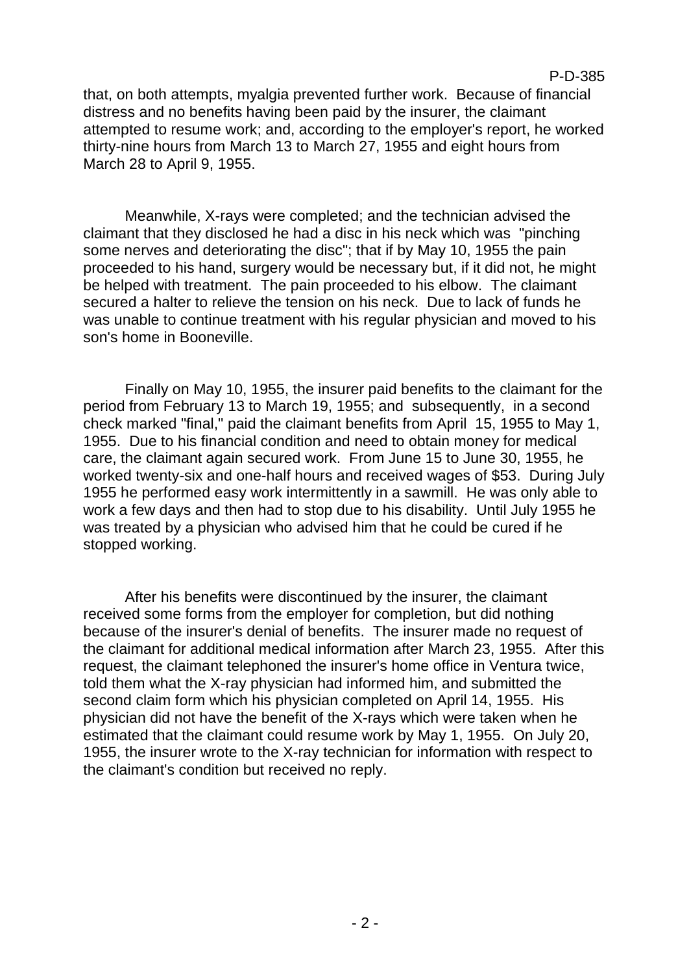#### P-D-385

that, on both attempts, myalgia prevented further work. Because of financial distress and no benefits having been paid by the insurer, the claimant attempted to resume work; and, according to the employer's report, he worked thirty-nine hours from March 13 to March 27, 1955 and eight hours from March 28 to April 9, 1955.

Meanwhile, X-rays were completed; and the technician advised the claimant that they disclosed he had a disc in his neck which was "pinching some nerves and deteriorating the disc"; that if by May 10, 1955 the pain proceeded to his hand, surgery would be necessary but, if it did not, he might be helped with treatment. The pain proceeded to his elbow. The claimant secured a halter to relieve the tension on his neck. Due to lack of funds he was unable to continue treatment with his regular physician and moved to his son's home in Booneville.

Finally on May 10, 1955, the insurer paid benefits to the claimant for the period from February 13 to March 19, 1955; and subsequently, in a second check marked "final," paid the claimant benefits from April 15, 1955 to May 1, 1955. Due to his financial condition and need to obtain money for medical care, the claimant again secured work. From June 15 to June 30, 1955, he worked twenty-six and one-half hours and received wages of \$53. During July 1955 he performed easy work intermittently in a sawmill. He was only able to work a few days and then had to stop due to his disability. Until July 1955 he was treated by a physician who advised him that he could be cured if he stopped working.

After his benefits were discontinued by the insurer, the claimant received some forms from the employer for completion, but did nothing because of the insurer's denial of benefits. The insurer made no request of the claimant for additional medical information after March 23, 1955. After this request, the claimant telephoned the insurer's home office in Ventura twice, told them what the X-ray physician had informed him, and submitted the second claim form which his physician completed on April 14, 1955. His physician did not have the benefit of the X-rays which were taken when he estimated that the claimant could resume work by May 1, 1955. On July 20, 1955, the insurer wrote to the X-ray technician for information with respect to the claimant's condition but received no reply.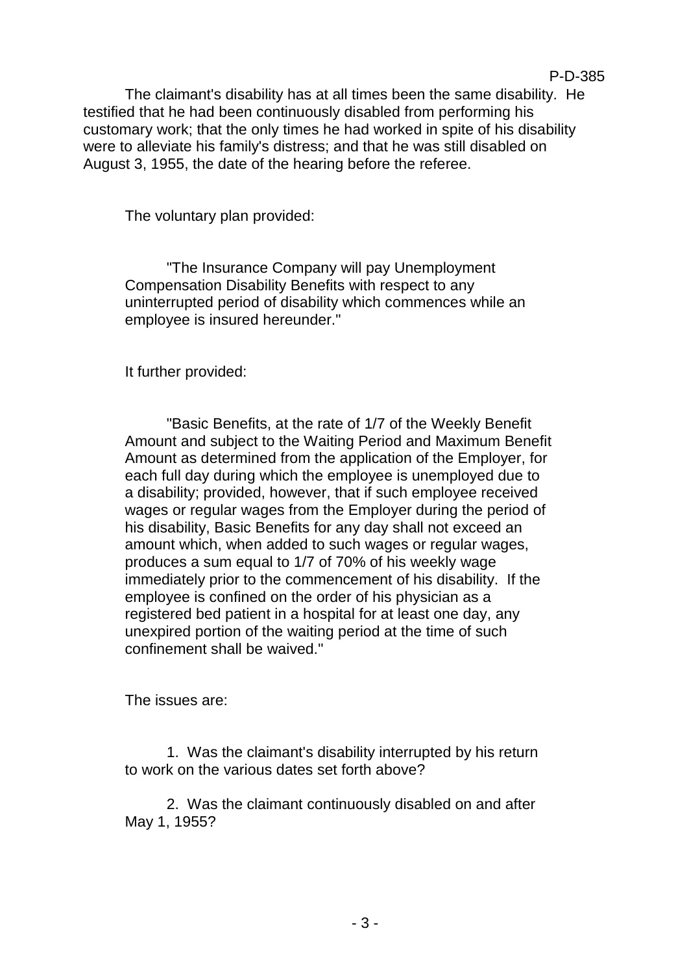The claimant's disability has at all times been the same disability. He testified that he had been continuously disabled from performing his customary work; that the only times he had worked in spite of his disability were to alleviate his family's distress; and that he was still disabled on August 3, 1955, the date of the hearing before the referee.

The voluntary plan provided:

"The Insurance Company will pay Unemployment Compensation Disability Benefits with respect to any uninterrupted period of disability which commences while an employee is insured hereunder."

It further provided:

"Basic Benefits, at the rate of 1/7 of the Weekly Benefit Amount and subject to the Waiting Period and Maximum Benefit Amount as determined from the application of the Employer, for each full day during which the employee is unemployed due to a disability; provided, however, that if such employee received wages or regular wages from the Employer during the period of his disability, Basic Benefits for any day shall not exceed an amount which, when added to such wages or regular wages, produces a sum equal to 1/7 of 70% of his weekly wage immediately prior to the commencement of his disability. If the employee is confined on the order of his physician as a registered bed patient in a hospital for at least one day, any unexpired portion of the waiting period at the time of such confinement shall be waived."

The issues are:

1. Was the claimant's disability interrupted by his return to work on the various dates set forth above?

2. Was the claimant continuously disabled on and after May 1, 1955?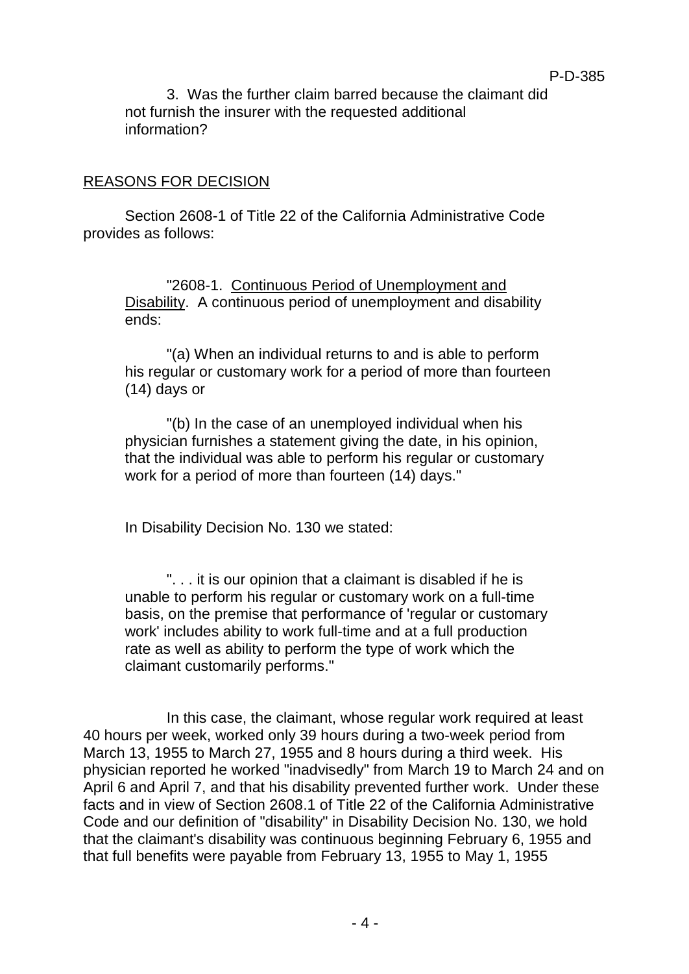3. Was the further claim barred because the claimant did not furnish the insurer with the requested additional information?

P-D-385

### REASONS FOR DECISION

Section 2608-1 of Title 22 of the California Administrative Code provides as follows:

"2608-1. Continuous Period of Unemployment and Disability. A continuous period of unemployment and disability ends:

"(a) When an individual returns to and is able to perform his regular or customary work for a period of more than fourteen (14) days or

"(b) In the case of an unemployed individual when his physician furnishes a statement giving the date, in his opinion, that the individual was able to perform his regular or customary work for a period of more than fourteen (14) days."

In Disability Decision No. 130 we stated:

". . . it is our opinion that a claimant is disabled if he is unable to perform his regular or customary work on a full-time basis, on the premise that performance of 'regular or customary work' includes ability to work full-time and at a full production rate as well as ability to perform the type of work which the claimant customarily performs."

In this case, the claimant, whose regular work required at least 40 hours per week, worked only 39 hours during a two-week period from March 13, 1955 to March 27, 1955 and 8 hours during a third week. His physician reported he worked "inadvisedly" from March 19 to March 24 and on April 6 and April 7, and that his disability prevented further work. Under these facts and in view of Section 2608.1 of Title 22 of the California Administrative Code and our definition of "disability" in Disability Decision No. 130, we hold that the claimant's disability was continuous beginning February 6, 1955 and that full benefits were payable from February 13, 1955 to May 1, 1955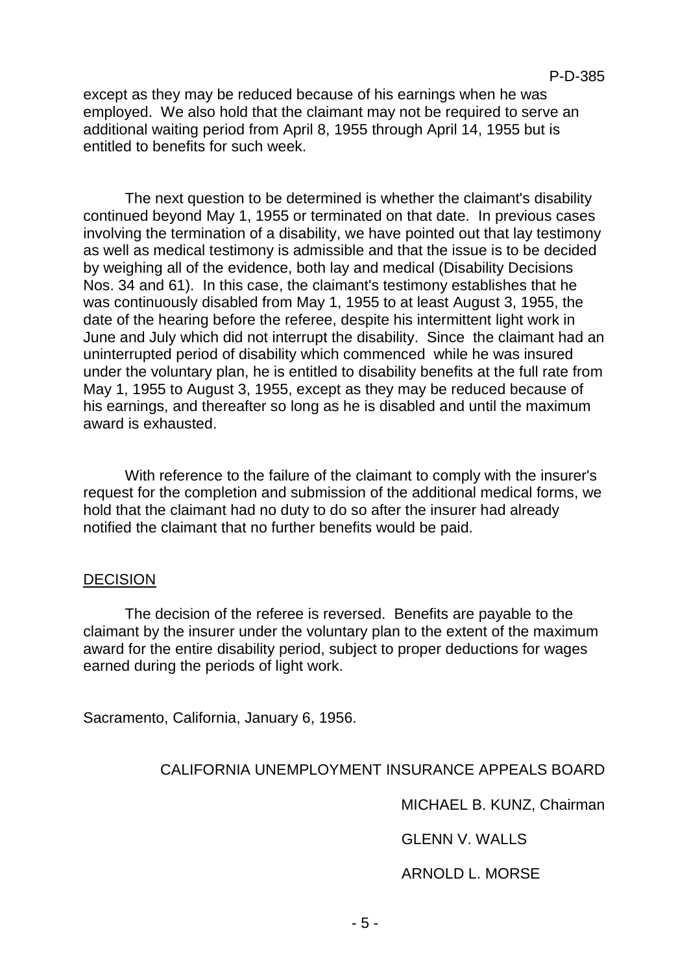except as they may be reduced because of his earnings when he was employed. We also hold that the claimant may not be required to serve an additional waiting period from April 8, 1955 through April 14, 1955 but is entitled to benefits for such week.

The next question to be determined is whether the claimant's disability continued beyond May 1, 1955 or terminated on that date. In previous cases involving the termination of a disability, we have pointed out that lay testimony as well as medical testimony is admissible and that the issue is to be decided by weighing all of the evidence, both lay and medical (Disability Decisions Nos. 34 and 61). In this case, the claimant's testimony establishes that he was continuously disabled from May 1, 1955 to at least August 3, 1955, the date of the hearing before the referee, despite his intermittent light work in June and July which did not interrupt the disability. Since the claimant had an uninterrupted period of disability which commenced while he was insured under the voluntary plan, he is entitled to disability benefits at the full rate from May 1, 1955 to August 3, 1955, except as they may be reduced because of his earnings, and thereafter so long as he is disabled and until the maximum award is exhausted.

With reference to the failure of the claimant to comply with the insurer's request for the completion and submission of the additional medical forms, we hold that the claimant had no duty to do so after the insurer had already notified the claimant that no further benefits would be paid.

#### **DECISION**

The decision of the referee is reversed. Benefits are payable to the claimant by the insurer under the voluntary plan to the extent of the maximum award for the entire disability period, subject to proper deductions for wages earned during the periods of light work.

Sacramento, California, January 6, 1956.

## CALIFORNIA UNEMPLOYMENT INSURANCE APPEALS BOARD

MICHAEL B. KUNZ, Chairman

GLENN V. WALLS

ARNOLD L. MORSE